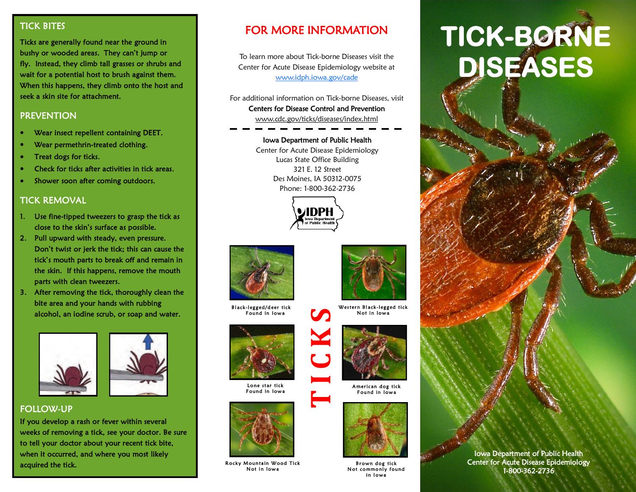## TICK BITES

Ticks are generally found near the ground in bushy or wooded areas. They can't jump or fly. Instead, they climb tall grasses or shrubs and wait for a potential host to brush against them. When this happens, they climb onto the host and seek a skin site for attachment.

### **PREVENTION**

- Wear insect repellent containing DEET.
- Wear permethrin-treated clothing.
- Treat dogs for ticks.
- Check for ticks after activities in tick areas.
- Shower soon after coming outdoors.

#### TICK REMOVAL

- 1. Use fine-tipped tweezers to grasp the tick as close to the skin's surface as possible.
- 2. Pull upward with steady, even pressure. Don't twist or jerk the tick; this can cause the tick's mouth parts to break off and remain in the skin. If this happens, remove the mouth parts with clean tweezers.
- 3. After removing the tick, thoroughly clean the bite area and your hands with rubbing alcohol, an iodine scrub, or soap and water.





## FOLLOW-UP

If you develop a rash or fever within several weeks of removing a tick, see your doctor. Be sure to tell your doctor about your recent tick bite, when it occurred, and where you most likely acquired the tick.

# FOR MORE INFORMATION

To learn more about Tick-borne Diseases visit the Center for Acute Disease Epidemiology website at [www.idph.iowa.gov/cade](http://www.idph.iowa.gov/cade)

For additional information on Tick-borne Diseases, visit Centers for Disease Control and Prevention www.cdc.gov/ticks/diseases/index.html

#### Iowa Department of Public Health

Center for Acute Disease Epidemiology Lucas State Office Building 321 E. 12 Street Des Moines, IA 50312-0075 Phone: 1-800-362-2736





Bl ack -legged/d eer tick Found in Iowa



Lone star tick Found in lowa



Rocky Mountain Wood Tick Not in lowa



Western Black-legged tick Not in Iowa



American dog tick Found in Iowa



Br own dog tick Not commonly found in lowa

# **TICK-BORNE DISEASES**